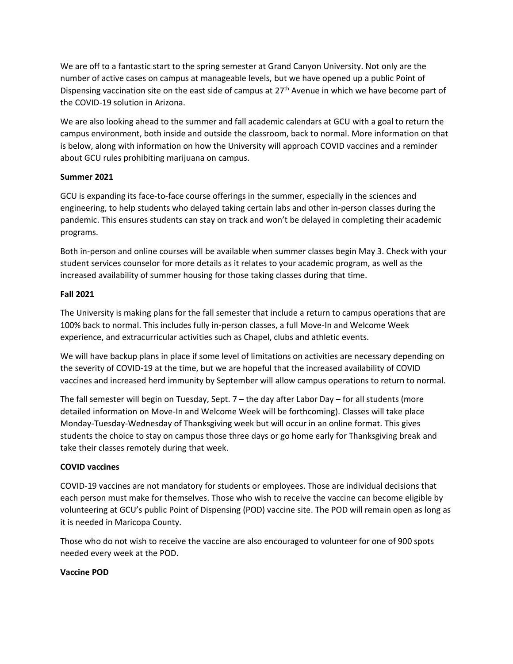We are off to a fantastic start to the spring semester at Grand Canyon University. Not only are the number of active cases on campus at manageable levels, but we have opened up a public Point of Dispensing vaccination site on the east side of campus at 27<sup>th</sup> Avenue in which we have become part of the COVID-19 solution in Arizona.

We are also looking ahead to the summer and fall academic calendars at GCU with a goal to return the campus environment, both inside and outside the classroom, back to normal. More information on that is below, along with information on how the University will approach COVID vaccines and a reminder about GCU rules prohibiting marijuana on campus.

### **Summer 2021**

GCU is expanding its face-to-face course offerings in the summer, especially in the sciences and engineering, to help students who delayed taking certain labs and other in-person classes during the pandemic. This ensures students can stay on track and won't be delayed in completing their academic programs.

Both in-person and online courses will be available when summer classes begin May 3. Check with your student services counselor for more details as it relates to your academic program, as well as the increased availability of summer housing for those taking classes during that time.

## **Fall 2021**

The University is making plans for the fall semester that include a return to campus operations that are 100% back to normal. This includes fully in-person classes, a full Move-In and Welcome Week experience, and extracurricular activities such as Chapel, clubs and athletic events.

We will have backup plans in place if some level of limitations on activities are necessary depending on the severity of COVID-19 at the time, but we are hopeful that the increased availability of COVID vaccines and increased herd immunity by September will allow campus operations to return to normal.

The fall semester will begin on Tuesday, Sept. 7 – the day after Labor Day – for all students (more detailed information on Move-In and Welcome Week will be forthcoming). Classes will take place Monday-Tuesday-Wednesday of Thanksgiving week but will occur in an online format. This gives students the choice to stay on campus those three days or go home early for Thanksgiving break and take their classes remotely during that week.

# **COVID vaccines**

COVID-19 vaccines are not mandatory for students or employees. Those are individual decisions that each person must make for themselves. Those who wish to receive the vaccine can become eligible by volunteering at GCU's public Point of Dispensing (POD) vaccine site. The POD will remain open as long as it is needed in Maricopa County.

Those who do not wish to receive the vaccine are also encouraged to volunteer for one of 900 spots needed every week at the POD.

### **Vaccine POD**